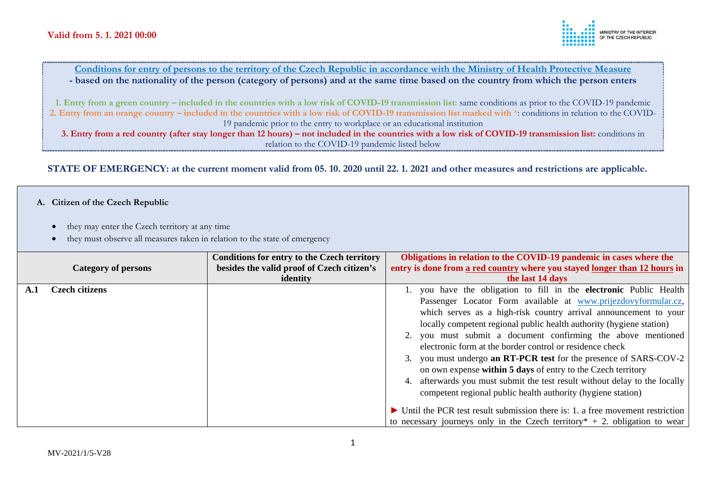**Conditions for entry of persons to the territory of the Czech Republic in accordance with the Ministry of Health Protective Measure - based on the nationality of the person (category of persons) and at the same time based on the country from which the person enters** 

**1. Entry from a green country – included in the countries with a low risk of COVID-19 transmission list:** same conditions as prior to the COVID-19 pandemic **2. Entry from an orange country – included in the countries with a low risk of COVID-19 transmission list marked with** \*: conditions in relation to the COVID-19 pandemic prior to the entry to workplace or an educational institution

**3. Entry from a red country (after stay longer than 12 hours) – not included in the countries with a low risk of COVID-19 transmission list:** conditions in relation to the COVID-19 pandemic listed below

**STATE OF EMERGENCY: at the current moment valid from 05. 10. 2020 until 22. 1. 2021 and other measures and restrictions are applicable.** 

#### **A. Citizen of the Czech Republic**

- they may enter the Czech territory at any time
- they must observe all measures taken in relation to the state of emergency

|     |                            | <b>Conditions for entry to the Czech territory</b> | Obligations in relation to the COVID-19 pandemic in cases where the                            |
|-----|----------------------------|----------------------------------------------------|------------------------------------------------------------------------------------------------|
|     | <b>Category of persons</b> | besides the valid proof of Czech citizen's         | entry is done from a red country where you stayed longer than 12 hours in                      |
|     |                            | identity                                           | the last 14 days                                                                               |
| A.1 | <b>Czech citizens</b>      |                                                    | 1. you have the obligation to fill in the electronic Public Health                             |
|     |                            |                                                    | Passenger Locator Form available at www.prijezdovyformular.cz,                                 |
|     |                            |                                                    | which serves as a high-risk country arrival announcement to your                               |
|     |                            |                                                    | locally competent regional public health authority (hygiene station)                           |
|     |                            |                                                    | 2. you must submit a document confirming the above mentioned                                   |
|     |                            |                                                    | electronic form at the border control or residence check                                       |
|     |                            |                                                    | 3. you must undergo an RT-PCR test for the presence of SARS-COV-2                              |
|     |                            |                                                    | on own expense within 5 days of entry to the Czech territory                                   |
|     |                            |                                                    | 4. afterwards you must submit the test result without delay to the locally                     |
|     |                            |                                                    | competent regional public health authority (hygiene station)                                   |
|     |                            |                                                    |                                                                                                |
|     |                            |                                                    | $\triangleright$ Until the PCR test result submission there is: 1. a free movement restriction |
|     |                            |                                                    | to necessary journeys only in the Czech territory $* + 2$ . obligation to wear                 |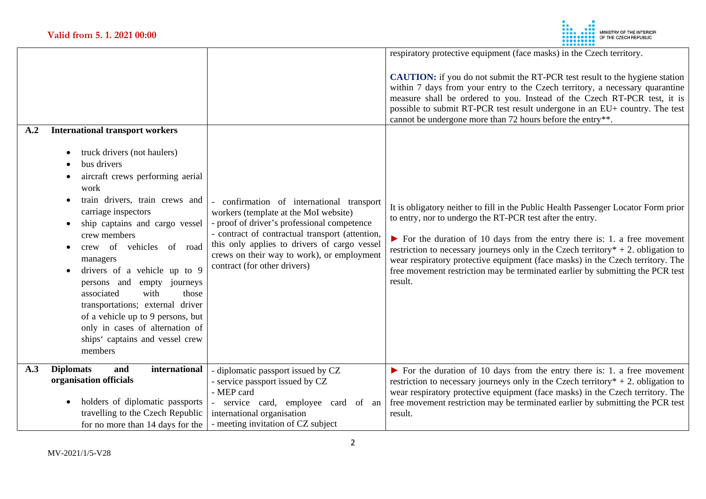

| A.2<br><b>International transport workers</b>                                                                                                                                                                                                                                                                                                                                                                                                                                                    |                                                                                                                                                                                                                                                                                                                  | respiratory protective equipment (face masks) in the Czech territory.<br><b>CAUTION:</b> if you do not submit the RT-PCR test result to the hygiene station<br>within 7 days from your entry to the Czech territory, a necessary quarantine<br>measure shall be ordered to you. Instead of the Czech RT-PCR test, it is<br>possible to submit RT-PCR test result undergone in an EU+ country. The test<br>cannot be undergone more than 72 hours before the entry**.                                                |
|--------------------------------------------------------------------------------------------------------------------------------------------------------------------------------------------------------------------------------------------------------------------------------------------------------------------------------------------------------------------------------------------------------------------------------------------------------------------------------------------------|------------------------------------------------------------------------------------------------------------------------------------------------------------------------------------------------------------------------------------------------------------------------------------------------------------------|---------------------------------------------------------------------------------------------------------------------------------------------------------------------------------------------------------------------------------------------------------------------------------------------------------------------------------------------------------------------------------------------------------------------------------------------------------------------------------------------------------------------|
| truck drivers (not haulers)<br>bus drivers<br>aircraft crews performing aerial<br>work<br>train drivers, train crews and<br>carriage inspectors<br>ship captains and cargo vessel<br>crew members<br>crew of vehicles of road<br>managers<br>drivers of a vehicle up to 9<br>persons and empty journeys<br>with<br>associated<br>those<br>transportations; external driver<br>of a vehicle up to 9 persons, but<br>only in cases of alternation of<br>ships' captains and vessel crew<br>members | confirmation of international transport<br>workers (template at the MoI website)<br>- proof of driver's professional competence<br>- contract of contractual transport (attention,<br>this only applies to drivers of cargo vessel<br>crews on their way to work), or employment<br>contract (for other drivers) | It is obligatory neither to fill in the Public Health Passenger Locator Form prior<br>to entry, nor to undergo the RT-PCR test after the entry.<br>$\triangleright$ For the duration of 10 days from the entry there is: 1. a free movement<br>restriction to necessary journeys only in the Czech territory $* + 2$ . obligation to<br>wear respiratory protective equipment (face masks) in the Czech territory. The<br>free movement restriction may be terminated earlier by submitting the PCR test<br>result. |
| A.3<br><b>Diplomats</b><br>international<br>and<br>organisation officials<br>holders of diplomatic passports<br>travelling to the Czech Republic<br>for no more than 14 days for the                                                                                                                                                                                                                                                                                                             | - diplomatic passport issued by CZ<br>- service passport issued by CZ<br>- MEP card<br>service card, employee card of an<br>international organisation<br>- meeting invitation of CZ subject                                                                                                                     | $\triangleright$ For the duration of 10 days from the entry there is: 1. a free movement<br>restriction to necessary journeys only in the Czech territory $* + 2$ . obligation to<br>wear respiratory protective equipment (face masks) in the Czech territory. The<br>free movement restriction may be terminated earlier by submitting the PCR test<br>result.                                                                                                                                                    |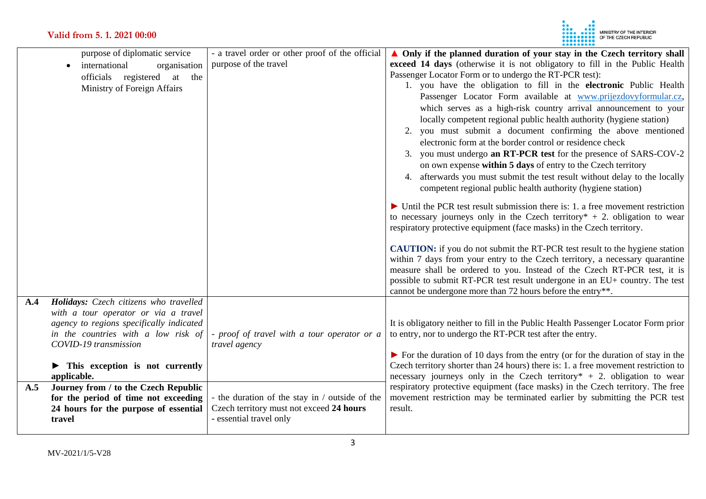

| purpose of diplomatic service                                                    | - a travel order or other proof of the official | $\triangle$ Only if the planned duration of your stay in the Czech territory shall              |
|----------------------------------------------------------------------------------|-------------------------------------------------|-------------------------------------------------------------------------------------------------|
| international<br>organisation<br>$\bullet$                                       | purpose of the travel                           | exceed 14 days (otherwise it is not obligatory to fill in the Public Health                     |
| officials registered<br>at<br>the                                                |                                                 | Passenger Locator Form or to undergo the RT-PCR test):                                          |
| Ministry of Foreign Affairs                                                      |                                                 | 1. you have the obligation to fill in the electronic Public Health                              |
|                                                                                  |                                                 | Passenger Locator Form available at www.prijezdovyformular.cz,                                  |
|                                                                                  |                                                 | which serves as a high-risk country arrival announcement to your                                |
|                                                                                  |                                                 | locally competent regional public health authority (hygiene station)                            |
|                                                                                  |                                                 | you must submit a document confirming the above mentioned<br>2.                                 |
|                                                                                  |                                                 | electronic form at the border control or residence check                                        |
|                                                                                  |                                                 | 3. you must undergo an RT-PCR test for the presence of SARS-COV-2                               |
|                                                                                  |                                                 | on own expense within 5 days of entry to the Czech territory                                    |
|                                                                                  |                                                 | afterwards you must submit the test result without delay to the locally<br>4.                   |
|                                                                                  |                                                 | competent regional public health authority (hygiene station)                                    |
|                                                                                  |                                                 | $\triangleright$ Until the PCR test result submission there is: 1. a free movement restriction  |
|                                                                                  |                                                 | to necessary journeys only in the Czech territory $* + 2$ . obligation to wear                  |
|                                                                                  |                                                 | respiratory protective equipment (face masks) in the Czech territory.                           |
|                                                                                  |                                                 |                                                                                                 |
|                                                                                  |                                                 | <b>CAUTION:</b> if you do not submit the RT-PCR test result to the hygiene station              |
|                                                                                  |                                                 | within 7 days from your entry to the Czech territory, a necessary quarantine                    |
|                                                                                  |                                                 | measure shall be ordered to you. Instead of the Czech RT-PCR test, it is                        |
|                                                                                  |                                                 | possible to submit RT-PCR test result undergone in an EU+ country. The test                     |
|                                                                                  |                                                 | cannot be undergone more than 72 hours before the entry**.                                      |
| Holidays: Czech citizens who travelled<br>A.4                                    |                                                 |                                                                                                 |
| with a tour operator or via a travel<br>agency to regions specifically indicated |                                                 | It is obligatory neither to fill in the Public Health Passenger Locator Form prior              |
| in the countries with a low risk of                                              | - proof of travel with a tour operator or a     | to entry, nor to undergo the RT-PCR test after the entry.                                       |
| COVID-19 transmission                                                            | travel agency                                   |                                                                                                 |
|                                                                                  |                                                 | $\triangleright$ For the duration of 10 days from the entry (or for the duration of stay in the |
| This exception is not currently                                                  |                                                 | Czech territory shorter than 24 hours) there is: 1. a free movement restriction to              |
| applicable.                                                                      |                                                 | necessary journeys only in the Czech territory* $+ 2$ . obligation to wear                      |
| Journey from / to the Czech Republic<br>A.5                                      |                                                 | respiratory protective equipment (face masks) in the Czech territory. The free                  |
| for the period of time not exceeding                                             | - the duration of the stay in / outside of the  | movement restriction may be terminated earlier by submitting the PCR test                       |
| 24 hours for the purpose of essential                                            | Czech territory must not exceed 24 hours        | result.                                                                                         |
| travel                                                                           | - essential travel only                         |                                                                                                 |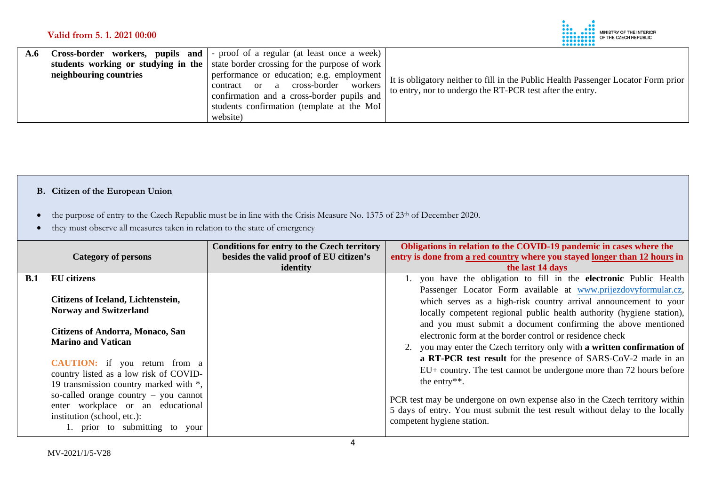

| A.f |                        | <b>Cross-border workers, pupils and</b> - proof of a regular (at least once a week) |                                                                                    |
|-----|------------------------|-------------------------------------------------------------------------------------|------------------------------------------------------------------------------------|
|     |                        | students working or studying in the state border crossing for the purpose of work   |                                                                                    |
|     | neighbouring countries | performance or education; e.g. employment                                           | It is obligatory neither to fill in the Public Health Passenger Locator Form prior |
|     |                        | workers<br>cross-border<br>contract<br>or a                                         | to entry, nor to undergo the RT-PCR test after the entry.                          |
|     |                        | confirmation and a cross-border pupils and                                          |                                                                                    |
|     |                        | students confirmation (template at the MoI                                          |                                                                                    |
|     |                        | website)                                                                            |                                                                                    |

# **B. Citizen of the European Union**

- the purpose of entry to the Czech Republic must be in line with the Crisis Measure No. 1375 of 23<sup>th</sup> of December 2020.
- they must observe all measures taken in relation to the state of emergency

|     | <b>Category of persons</b>                                                                                                                                                                                                                                                                                                                                                    | <b>Conditions for entry to the Czech territory</b><br>besides the valid proof of EU citizen's<br>identity | Obligations in relation to the COVID-19 pandemic in cases where the<br>entry is done from a red country where you stayed longer than 12 hours in<br>the last 14 days                                                                                                                                                                                                                                                                                                                                                                                                                                                                                                                                                                                                                                                |
|-----|-------------------------------------------------------------------------------------------------------------------------------------------------------------------------------------------------------------------------------------------------------------------------------------------------------------------------------------------------------------------------------|-----------------------------------------------------------------------------------------------------------|---------------------------------------------------------------------------------------------------------------------------------------------------------------------------------------------------------------------------------------------------------------------------------------------------------------------------------------------------------------------------------------------------------------------------------------------------------------------------------------------------------------------------------------------------------------------------------------------------------------------------------------------------------------------------------------------------------------------------------------------------------------------------------------------------------------------|
| B.1 | <b>EU</b> citizens<br>Citizens of Iceland, Lichtenstein,<br><b>Norway and Switzerland</b><br><b>Citizens of Andorra, Monaco, San</b><br><b>Marino and Vatican</b><br><b>CAUTION:</b> if you return from a<br>country listed as a low risk of COVID-<br>19 transmission country marked with *,<br>so-called orange country $-$ you cannot<br>enter workplace or an educational |                                                                                                           | 1. you have the obligation to fill in the electronic Public Health<br>Passenger Locator Form available at www.prijezdovyformular.cz,<br>which serves as a high-risk country arrival announcement to your<br>locally competent regional public health authority (hygiene station),<br>and you must submit a document confirming the above mentioned<br>electronic form at the border control or residence check<br>2. you may enter the Czech territory only with a written confirmation of<br>a RT-PCR test result for the presence of SARS-CoV-2 made in an<br>EU+ country. The test cannot be undergone more than 72 hours before<br>the entry**.<br>PCR test may be undergone on own expense also in the Czech territory within<br>5 days of entry. You must submit the test result without delay to the locally |
|     | institution (school, etc.):<br>1. prior to submitting to your                                                                                                                                                                                                                                                                                                                 |                                                                                                           | competent hygiene station.                                                                                                                                                                                                                                                                                                                                                                                                                                                                                                                                                                                                                                                                                                                                                                                          |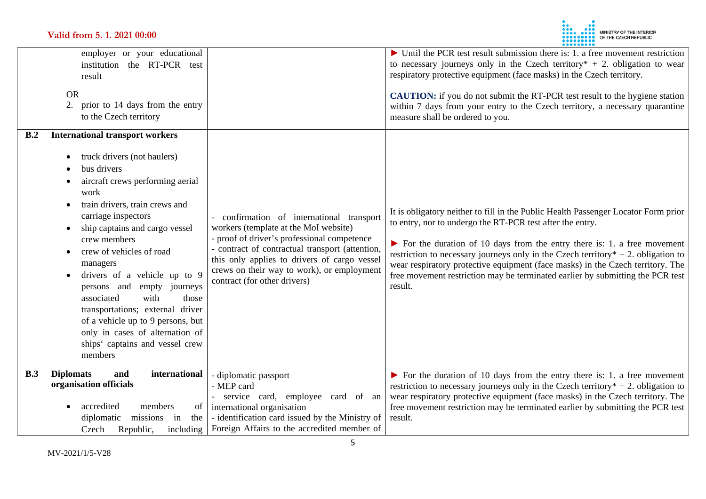

| employer or your educational<br>institution the RT-PCR test<br>result<br><b>OR</b><br>2.<br>prior to 14 days from the entry<br>to the Czech territory                                                                                                                                                                                                                                                                                                                                                                                                |                                                                                                                                                                                                                                                                                                                  | $\triangleright$ Until the PCR test result submission there is: 1. a free movement restriction<br>to necessary journeys only in the Czech territory $* + 2$ . obligation to wear<br>respiratory protective equipment (face masks) in the Czech territory.<br><b>CAUTION:</b> if you do not submit the RT-PCR test result to the hygiene station<br>within 7 days from your entry to the Czech territory, a necessary quarantine<br>measure shall be ordered to you.                                                 |
|------------------------------------------------------------------------------------------------------------------------------------------------------------------------------------------------------------------------------------------------------------------------------------------------------------------------------------------------------------------------------------------------------------------------------------------------------------------------------------------------------------------------------------------------------|------------------------------------------------------------------------------------------------------------------------------------------------------------------------------------------------------------------------------------------------------------------------------------------------------------------|---------------------------------------------------------------------------------------------------------------------------------------------------------------------------------------------------------------------------------------------------------------------------------------------------------------------------------------------------------------------------------------------------------------------------------------------------------------------------------------------------------------------|
| <b>International transport workers</b><br>B.2<br>truck drivers (not haulers)<br>bus drivers<br>aircraft crews performing aerial<br>work<br>train drivers, train crews and<br>carriage inspectors<br>ship captains and cargo vessel<br>crew members<br>crew of vehicles of road<br>managers<br>drivers of a vehicle up to 9<br>persons and<br>empty journeys<br>with<br>associated<br>those<br>transportations; external driver<br>of a vehicle up to 9 persons, but<br>only in cases of alternation of<br>ships' captains and vessel crew<br>members | confirmation of international transport<br>workers (template at the MoI website)<br>- proof of driver's professional competence<br>- contract of contractual transport (attention,<br>this only applies to drivers of cargo vessel<br>crews on their way to work), or employment<br>contract (for other drivers) | It is obligatory neither to fill in the Public Health Passenger Locator Form prior<br>to entry, nor to undergo the RT-PCR test after the entry.<br>$\triangleright$ For the duration of 10 days from the entry there is: 1. a free movement<br>restriction to necessary journeys only in the Czech territory $* + 2$ . obligation to<br>wear respiratory protective equipment (face masks) in the Czech territory. The<br>free movement restriction may be terminated earlier by submitting the PCR test<br>result. |
| international<br><b>Diplomats</b><br>B.3<br>and<br>organisation officials<br>accredited<br>members<br>of<br>diplomatic<br>missions<br>in<br>the<br>Republic,<br>Czech<br>including                                                                                                                                                                                                                                                                                                                                                                   | - diplomatic passport<br>- MEP card<br>- service card, employee card of an<br>international organisation<br>- identification card issued by the Ministry of<br>Foreign Affairs to the accredited member of                                                                                                       | $\triangleright$ For the duration of 10 days from the entry there is: 1. a free movement<br>restriction to necessary journeys only in the Czech territory $* + 2$ . obligation to<br>wear respiratory protective equipment (face masks) in the Czech territory. The<br>free movement restriction may be terminated earlier by submitting the PCR test<br>result.                                                                                                                                                    |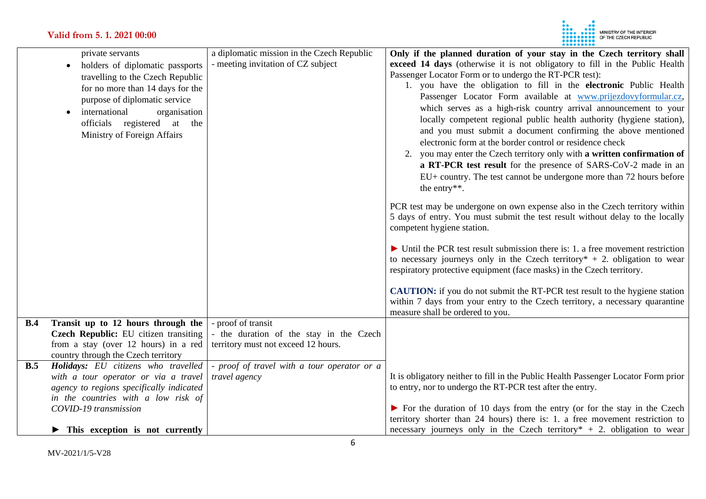

|            | private servants<br>holders of diplomatic passports<br>$\bullet$ | a diplomatic mission in the Czech Republic<br>- meeting invitation of CZ subject | Only if the planned duration of your stay in the Czech territory shall<br>exceed 14 days (otherwise it is not obligatory to fill in the Public Health |
|------------|------------------------------------------------------------------|----------------------------------------------------------------------------------|-------------------------------------------------------------------------------------------------------------------------------------------------------|
|            | travelling to the Czech Republic                                 |                                                                                  | Passenger Locator Form or to undergo the RT-PCR test):                                                                                                |
|            | for no more than 14 days for the                                 |                                                                                  | 1. you have the obligation to fill in the electronic Public Health                                                                                    |
|            | purpose of diplomatic service                                    |                                                                                  | Passenger Locator Form available at www.prijezdovyformular.cz,                                                                                        |
|            | international                                                    |                                                                                  | which serves as a high-risk country arrival announcement to your                                                                                      |
|            | organisation                                                     |                                                                                  | locally competent regional public health authority (hygiene station),                                                                                 |
|            | officials registered at the                                      |                                                                                  | and you must submit a document confirming the above mentioned                                                                                         |
|            | Ministry of Foreign Affairs                                      |                                                                                  | electronic form at the border control or residence check                                                                                              |
|            |                                                                  |                                                                                  | 2. you may enter the Czech territory only with a written confirmation of                                                                              |
|            |                                                                  |                                                                                  | a RT-PCR test result for the presence of SARS-CoV-2 made in an                                                                                        |
|            |                                                                  |                                                                                  | EU+ country. The test cannot be undergone more than 72 hours before                                                                                   |
|            |                                                                  |                                                                                  | the entry**.                                                                                                                                          |
|            |                                                                  |                                                                                  |                                                                                                                                                       |
|            |                                                                  |                                                                                  | PCR test may be undergone on own expense also in the Czech territory within                                                                           |
|            |                                                                  |                                                                                  | 5 days of entry. You must submit the test result without delay to the locally                                                                         |
|            |                                                                  |                                                                                  | competent hygiene station.                                                                                                                            |
|            |                                                                  |                                                                                  | $\triangleright$ Until the PCR test result submission there is: 1. a free movement restriction                                                        |
|            |                                                                  |                                                                                  | to necessary journeys only in the Czech territory $* + 2$ . obligation to wear                                                                        |
|            |                                                                  |                                                                                  | respiratory protective equipment (face masks) in the Czech territory.                                                                                 |
|            |                                                                  |                                                                                  |                                                                                                                                                       |
|            |                                                                  |                                                                                  | <b>CAUTION:</b> if you do not submit the RT-PCR test result to the hygiene station                                                                    |
|            |                                                                  |                                                                                  | within 7 days from your entry to the Czech territory, a necessary quarantine                                                                          |
|            |                                                                  |                                                                                  | measure shall be ordered to you.                                                                                                                      |
| <b>B.4</b> | Transit up to 12 hours through the                               | - proof of transit                                                               |                                                                                                                                                       |
|            | Czech Republic: EU citizen transiting                            | - the duration of the stay in the Czech                                          |                                                                                                                                                       |
|            | from a stay (over 12 hours) in a red                             | territory must not exceed 12 hours.                                              |                                                                                                                                                       |
|            | country through the Czech territory                              |                                                                                  |                                                                                                                                                       |
| B.5        | Holidays: EU citizens who travelled                              | - proof of travel with a tour operator or a                                      |                                                                                                                                                       |
|            | with a tour operator or via a travel                             | travel agency                                                                    | It is obligatory neither to fill in the Public Health Passenger Locator Form prior                                                                    |
|            | agency to regions specifically indicated                         |                                                                                  | to entry, nor to undergo the RT-PCR test after the entry.                                                                                             |
|            | in the countries with a low risk of<br>COVID-19 transmission     |                                                                                  | $\triangleright$ For the duration of 10 days from the entry (or for the stay in the Czech                                                             |
|            |                                                                  |                                                                                  | territory shorter than 24 hours) there is: 1. a free movement restriction to                                                                          |
|            | This exception is not currently                                  |                                                                                  | necessary journeys only in the Czech territory* $+ 2$ . obligation to wear                                                                            |
|            |                                                                  |                                                                                  |                                                                                                                                                       |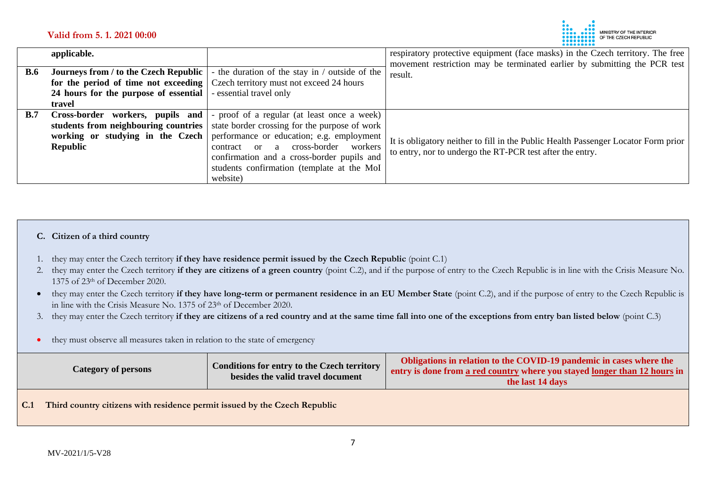

|            | applicable.                                  |                                                | respiratory protective equipment (face masks) in the Czech territory. The free<br>movement restriction may be terminated earlier by submitting the PCR test |
|------------|----------------------------------------------|------------------------------------------------|-------------------------------------------------------------------------------------------------------------------------------------------------------------|
| <b>B.6</b> | <b>Journeys from / to the Czech Republic</b> | - the duration of the stay in / outside of the | result.                                                                                                                                                     |
|            | for the period of time not exceeding         | Czech territory must not exceed 24 hours       |                                                                                                                                                             |
|            | 24 hours for the purpose of essential        | - essential travel only                        |                                                                                                                                                             |
|            | travel                                       |                                                |                                                                                                                                                             |
| B.7        | Cross-border workers, pupils and             | - proof of a regular (at least once a week)    |                                                                                                                                                             |
|            | students from neighbouring countries         | state border crossing for the purpose of work  |                                                                                                                                                             |
|            | working or studying in the Czech             | performance or education; e.g. employment      | It is obligatory neither to fill in the Public Health Passenger Locator Form prior                                                                          |
|            | Republic                                     | cross-border<br>workers<br>contract or a       | to entry, nor to undergo the RT-PCR test after the entry.                                                                                                   |
|            |                                              | confirmation and a cross-border pupils and     |                                                                                                                                                             |
|            |                                              | students confirmation (template at the MoI     |                                                                                                                                                             |
|            |                                              | website)                                       |                                                                                                                                                             |

#### **C. Citizen of a third country**

- 1. they may enter the Czech territory **if they have residence permit issued by the Czech Republic** (point C.1)
- 2. they may enter the Czech territory **if they are citizens of a green country** (point C.2), and if the purpose of entry to the Czech Republic is in line with the Crisis Measure No. 1375 of 23th of December 2020.
- they may enter the Czech territory **if they have long-term or permanent residence in an EU Member State** (point C.2), and if the purpose of entry to the Czech Republic is in line with the Crisis Measure No. 1375 of 23th of December 2020.
- 3. they may enter the Czech territory **if they are citizens of a red country and at the same time fall into one of the exceptions from entry ban listed below** (point C.3)
- they must observe all measures taken in relation to the state of emergency

| Category of persons | Conditions for entry to the Czech territory<br>besides the valid travel document | Obligations in relation to the COVID-19 pandemic in cases where the<br>entry is done from a red country where you stayed longer than 12 hours in<br>the last 14 days |
|---------------------|----------------------------------------------------------------------------------|----------------------------------------------------------------------------------------------------------------------------------------------------------------------|
|                     |                                                                                  |                                                                                                                                                                      |

**C.1 Third country citizens with residence permit issued by the Czech Republic**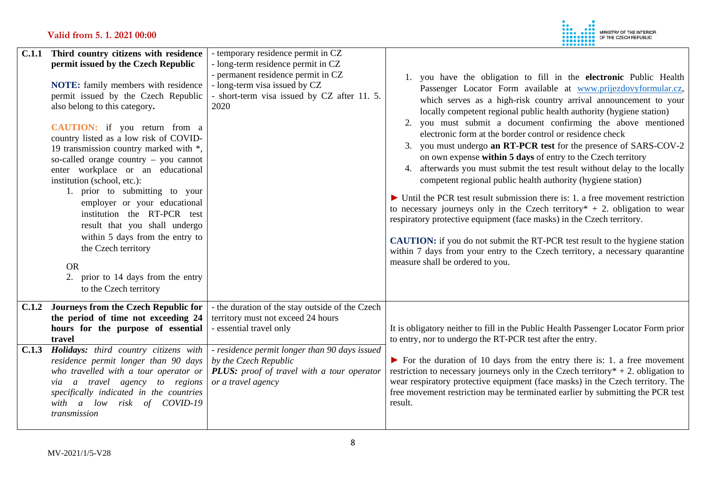

|       | C.1.1 Third country citizens with residence<br>permit issued by the Czech Republic<br><b>NOTE:</b> family members with residence<br>permit issued by the Czech Republic<br>also belong to this category.<br><b>CAUTION:</b> if you return from a<br>country listed as a low risk of COVID-<br>19 transmission country marked with *,<br>so-called orange country - you cannot<br>enter workplace or an educational<br>institution (school, etc.):<br>1. prior to submitting to your<br>employer or your educational<br>institution the RT-PCR test<br>result that you shall undergo<br>within 5 days from the entry to<br>the Czech territory<br><b>OR</b><br>2. prior to 14 days from the entry<br>to the Czech territory | - temporary residence permit in CZ<br>- long-term residence permit in CZ<br>- permanent residence permit in CZ<br>- long-term visa issued by CZ<br>- short-term visa issued by CZ after 11. 5.<br>2020 | you have the obligation to fill in the electronic Public Health<br>Passenger Locator Form available at www.prijezdovyformular.cz,<br>which serves as a high-risk country arrival announcement to your<br>locally competent regional public health authority (hygiene station)<br>you must submit a document confirming the above mentioned<br>2.<br>electronic form at the border control or residence check<br>you must undergo an RT-PCR test for the presence of SARS-COV-2<br>3.<br>on own expense within 5 days of entry to the Czech territory<br>afterwards you must submit the test result without delay to the locally<br>4.<br>competent regional public health authority (hygiene station)<br>$\triangleright$ Until the PCR test result submission there is: 1. a free movement restriction<br>to necessary journeys only in the Czech territory $* + 2$ . obligation to wear<br>respiratory protective equipment (face masks) in the Czech territory.<br><b>CAUTION:</b> if you do not submit the RT-PCR test result to the hygiene station<br>within 7 days from your entry to the Czech territory, a necessary quarantine<br>measure shall be ordered to you. |
|-------|----------------------------------------------------------------------------------------------------------------------------------------------------------------------------------------------------------------------------------------------------------------------------------------------------------------------------------------------------------------------------------------------------------------------------------------------------------------------------------------------------------------------------------------------------------------------------------------------------------------------------------------------------------------------------------------------------------------------------|--------------------------------------------------------------------------------------------------------------------------------------------------------------------------------------------------------|------------------------------------------------------------------------------------------------------------------------------------------------------------------------------------------------------------------------------------------------------------------------------------------------------------------------------------------------------------------------------------------------------------------------------------------------------------------------------------------------------------------------------------------------------------------------------------------------------------------------------------------------------------------------------------------------------------------------------------------------------------------------------------------------------------------------------------------------------------------------------------------------------------------------------------------------------------------------------------------------------------------------------------------------------------------------------------------------------------------------------------------------------------------------------|
| C.1.2 | Journeys from the Czech Republic for<br>the period of time not exceeding 24<br>hours for the purpose of essential<br>travel                                                                                                                                                                                                                                                                                                                                                                                                                                                                                                                                                                                                | - the duration of the stay outside of the Czech<br>territory must not exceed 24 hours<br>- essential travel only                                                                                       | It is obligatory neither to fill in the Public Health Passenger Locator Form prior<br>to entry, nor to undergo the RT-PCR test after the entry.                                                                                                                                                                                                                                                                                                                                                                                                                                                                                                                                                                                                                                                                                                                                                                                                                                                                                                                                                                                                                              |
| C.1.3 | Holidays: third country citizens with<br>residence permit longer than 90 days<br>who travelled with a tour operator or<br>via a travel agency to regions<br>specifically indicated in the countries<br>with a low risk of COVID-19<br>transmission                                                                                                                                                                                                                                                                                                                                                                                                                                                                         | - residence permit longer than 90 days issued<br>by the Czech Republic<br>PLUS: proof of travel with a tour operator<br>or a travel agency                                                             | $\triangleright$ For the duration of 10 days from the entry there is: 1. a free movement<br>restriction to necessary journeys only in the Czech territory $* + 2$ . obligation to<br>wear respiratory protective equipment (face masks) in the Czech territory. The<br>free movement restriction may be terminated earlier by submitting the PCR test<br>result.                                                                                                                                                                                                                                                                                                                                                                                                                                                                                                                                                                                                                                                                                                                                                                                                             |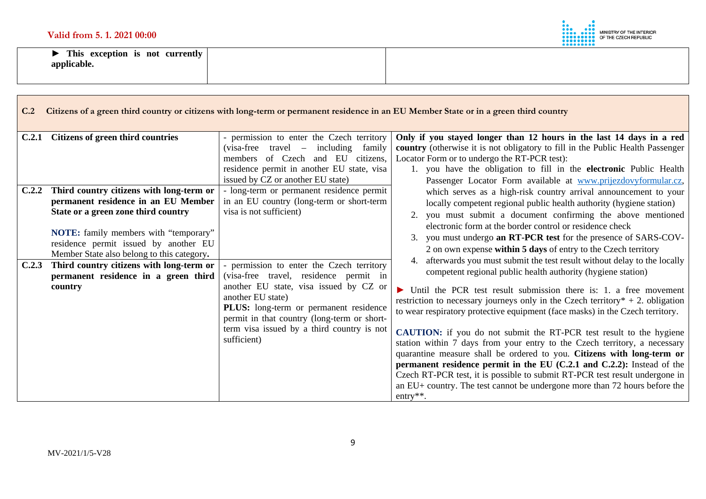

**► This exception is not currently applicable.** 

| C.2            | Citizens of a green third country or citizens with long-term or permanent residence in an EU Member State or in a green third country                                                                                       |                                                                                                                                                                                                                                                                                                                                     |                                                                                                                                                                                                                                                                                                                                                                                                                                                                                                                                                                                                                                                                                                                                                                                                                                                                                                                                                                                                                                                                                                      |  |
|----------------|-----------------------------------------------------------------------------------------------------------------------------------------------------------------------------------------------------------------------------|-------------------------------------------------------------------------------------------------------------------------------------------------------------------------------------------------------------------------------------------------------------------------------------------------------------------------------------|------------------------------------------------------------------------------------------------------------------------------------------------------------------------------------------------------------------------------------------------------------------------------------------------------------------------------------------------------------------------------------------------------------------------------------------------------------------------------------------------------------------------------------------------------------------------------------------------------------------------------------------------------------------------------------------------------------------------------------------------------------------------------------------------------------------------------------------------------------------------------------------------------------------------------------------------------------------------------------------------------------------------------------------------------------------------------------------------------|--|
| C.2.1<br>C.2.2 | Citizens of green third countries<br>Third country citizens with long-term or<br>permanent residence in an EU Member<br>State or a green zone third country                                                                 | - permission to enter the Czech territory<br>$(visa-free travel - including$<br>family<br>members of Czech and EU citizens,<br>residence permit in another EU state, visa<br>issued by CZ or another EU state)<br>- long-term or permanent residence permit<br>in an EU country (long-term or short-term<br>visa is not sufficient) | Only if you stayed longer than 12 hours in the last 14 days in a red<br>country (otherwise it is not obligatory to fill in the Public Health Passenger<br>Locator Form or to undergo the RT-PCR test):<br>1. you have the obligation to fill in the electronic Public Health<br>Passenger Locator Form available at www.prijezdovyformular.cz,<br>which serves as a high-risk country arrival announcement to your<br>locally competent regional public health authority (hygiene station)<br>you must submit a document confirming the above mentioned<br>2.                                                                                                                                                                                                                                                                                                                                                                                                                                                                                                                                        |  |
| C.2.3          | NOTE: family members with "temporary"<br>residence permit issued by another EU<br>Member State also belong to this category.<br>Third country citizens with long-term or<br>permanent residence in a green third<br>country | - permission to enter the Czech territory<br>(visa-free travel, residence permit in<br>another EU state, visa issued by CZ or<br>another EU state)<br>PLUS: long-term or permanent residence<br>permit in that country (long-term or short-<br>term visa issued by a third country is not<br>sufficient)                            | electronic form at the border control or residence check<br>you must undergo an RT-PCR test for the presence of SARS-COV-<br>2 on own expense within 5 days of entry to the Czech territory<br>afterwards you must submit the test result without delay to the locally<br>competent regional public health authority (hygiene station)<br>$\triangleright$ Until the PCR test result submission there is: 1. a free movement<br>restriction to necessary journeys only in the Czech territory $* + 2$ . obligation<br>to wear respiratory protective equipment (face masks) in the Czech territory.<br><b>CAUTION:</b> if you do not submit the RT-PCR test result to the hygiene<br>station within 7 days from your entry to the Czech territory, a necessary<br>quarantine measure shall be ordered to you. Citizens with long-term or<br>permanent residence permit in the EU $(C.2.1$ and $C.2.2)$ : Instead of the<br>Czech RT-PCR test, it is possible to submit RT-PCR test result undergone in<br>an EU+ country. The test cannot be undergone more than 72 hours before the<br>entry $**$ . |  |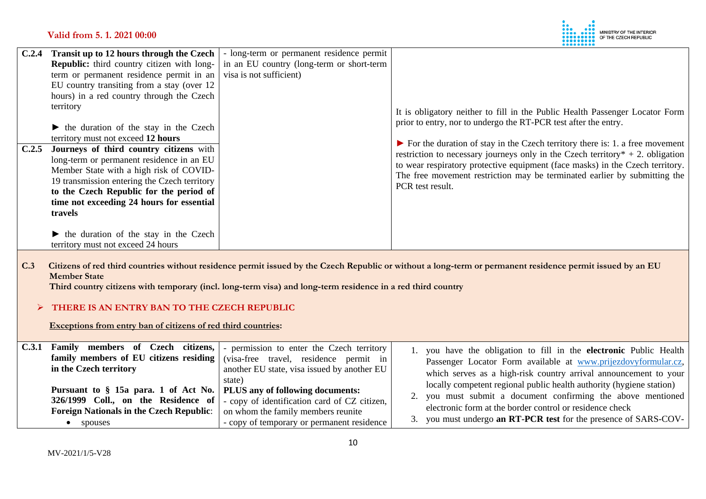

| C.2.4 | Transit up to 12 hours through the Czech                                                                                                                                                                                                | - long-term or permanent residence permit |                                                                                                                                                                                                                                                  |
|-------|-----------------------------------------------------------------------------------------------------------------------------------------------------------------------------------------------------------------------------------------|-------------------------------------------|--------------------------------------------------------------------------------------------------------------------------------------------------------------------------------------------------------------------------------------------------|
|       | <b>Republic:</b> third country citizen with long-                                                                                                                                                                                       | in an EU country (long-term or short-term |                                                                                                                                                                                                                                                  |
|       | term or permanent residence permit in an                                                                                                                                                                                                | visa is not sufficient)                   |                                                                                                                                                                                                                                                  |
|       | EU country transiting from a stay (over 12)                                                                                                                                                                                             |                                           |                                                                                                                                                                                                                                                  |
|       | hours) in a red country through the Czech                                                                                                                                                                                               |                                           |                                                                                                                                                                                                                                                  |
|       | territory<br>$\blacktriangleright$ the duration of the stay in the Czech<br>territory must not exceed 12 hours                                                                                                                          |                                           | It is obligatory neither to fill in the Public Health Passenger Locator Form<br>prior to entry, nor to undergo the RT-PCR test after the entry.<br>$\triangleright$ For the duration of stay in the Czech territory there is: 1. a free movement |
| C.2.5 | Journeys of third country citizens with                                                                                                                                                                                                 |                                           | restriction to necessary journeys only in the Czech territory $* + 2$ . obligation                                                                                                                                                               |
|       | long-term or permanent residence in an EU<br>Member State with a high risk of COVID-<br>19 transmission entering the Czech territory<br>to the Czech Republic for the period of<br>time not exceeding 24 hours for essential<br>travels |                                           | to wear respiratory protective equipment (face masks) in the Czech territory.<br>The free movement restriction may be terminated earlier by submitting the<br>PCR test result.                                                                   |
|       | • the duration of the stay in the Czech<br>territory must not exceed 24 hours                                                                                                                                                           |                                           |                                                                                                                                                                                                                                                  |

**C.3 Citizens of red third countries without residence permit issued by the Czech Republic or without a long-term or permanent residence permit issued by an EU Member State**

 **Third country citizens with temporary (incl. long-term visa) and long-term residence in a red third country** 

## **THERE IS AN ENTRY BAN TO THE CZECH REPUBLIC**

 **Exceptions from entry ban of citizens of red third countries:**

| C.3.1 Family members of Czech citizens,                                 | - permission to enter the Czech territory    | 1. you have the obligation to fill in the electronic Public Health   |  |
|-------------------------------------------------------------------------|----------------------------------------------|----------------------------------------------------------------------|--|
| family members of EU citizens residing                                  | (visa-free travel, residence permit in       | Passenger Locator Form available at www.prijezdovyformular.cz,       |  |
| in the Czech territory                                                  | another EU state, visa issued by another EU  | which serves as a high-risk country arrival announcement to your     |  |
| Pursuant to § 15a para. 1 of Act No.   PLUS any of following documents: | state)                                       | locally competent regional public health authority (hygiene station) |  |
| 326/1999 Coll., on the Residence of                                     | - copy of identification card of CZ citizen, | 2. you must submit a document confirming the above mentioned         |  |
| <b>Foreign Nationals in the Czech Republic:</b>                         | on whom the family members reunite           | electronic form at the border control or residence check             |  |
| spouses                                                                 | - copy of temporary or permanent residence   | 3. you must undergo an RT-PCR test for the presence of SARS-COV-     |  |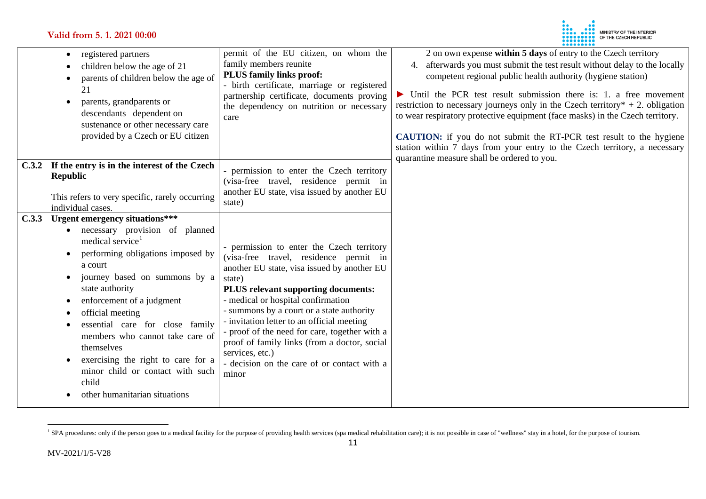# **Valid from 5. 1. 2021 00:00**

<span id="page-10-0"></span>

|       | registered partners<br>٠<br>children below the age of 21<br>parents of children below the age of<br>$\bullet$<br>21<br>parents, grandparents or<br>$\bullet$<br>descendants dependent on<br>sustenance or other necessary care<br>provided by a Czech or EU citizen                                                                                                                                                                                           | permit of the EU citizen, on whom the<br>family members reunite<br><b>PLUS family links proof:</b><br>- birth certificate, marriage or registered<br>partnership certificate, documents proving<br>the dependency on nutrition or necessary<br>care                                                                                                                                                                                                                                              | 2 on own expense within 5 days of entry to the Czech territory<br>4. afterwards you must submit the test result without delay to the locally<br>competent regional public health authority (hygiene station)<br>$\triangleright$ Until the PCR test result submission there is: 1. a free movement<br>restriction to necessary journeys only in the Czech territory $* + 2$ . obligation<br>to wear respiratory protective equipment (face masks) in the Czech territory.<br><b>CAUTION:</b> if you do not submit the RT-PCR test result to the hygiene<br>station within 7 days from your entry to the Czech territory, a necessary<br>quarantine measure shall be ordered to you. |
|-------|---------------------------------------------------------------------------------------------------------------------------------------------------------------------------------------------------------------------------------------------------------------------------------------------------------------------------------------------------------------------------------------------------------------------------------------------------------------|--------------------------------------------------------------------------------------------------------------------------------------------------------------------------------------------------------------------------------------------------------------------------------------------------------------------------------------------------------------------------------------------------------------------------------------------------------------------------------------------------|-------------------------------------------------------------------------------------------------------------------------------------------------------------------------------------------------------------------------------------------------------------------------------------------------------------------------------------------------------------------------------------------------------------------------------------------------------------------------------------------------------------------------------------------------------------------------------------------------------------------------------------------------------------------------------------|
|       | C.3.2 If the entry is in the interest of the Czech<br><b>Republic</b><br>This refers to very specific, rarely occurring<br>individual cases.                                                                                                                                                                                                                                                                                                                  | permission to enter the Czech territory<br>(visa-free travel, residence permit in<br>another EU state, visa issued by another EU<br>state)                                                                                                                                                                                                                                                                                                                                                       |                                                                                                                                                                                                                                                                                                                                                                                                                                                                                                                                                                                                                                                                                     |
| C.3.3 | Urgent emergency situations***<br>necessary provision of planned<br>medical service <sup>1</sup><br>performing obligations imposed by<br>a court<br>journey based on summons by a<br>state authority<br>enforcement of a judgment<br>official meeting<br>essential care for close family<br>members who cannot take care of<br>themselves<br>exercising the right to care for a<br>minor child or contact with such<br>child<br>other humanitarian situations | - permission to enter the Czech territory<br>(visa-free travel, residence permit in<br>another EU state, visa issued by another EU<br>state)<br>PLUS relevant supporting documents:<br>- medical or hospital confirmation<br>- summons by a court or a state authority<br>- invitation letter to an official meeting<br>- proof of the need for care, together with a<br>proof of family links (from a doctor, social<br>services, etc.)<br>- decision on the care of or contact with a<br>minor |                                                                                                                                                                                                                                                                                                                                                                                                                                                                                                                                                                                                                                                                                     |

<sup>&</sup>lt;sup>1</sup> SPA procedures: only if the person goes to a medical facility for the purpose of providing health services (spa medical rehabilitation care); it is not possible in case of "wellness" stay in a hotel, for the purpose of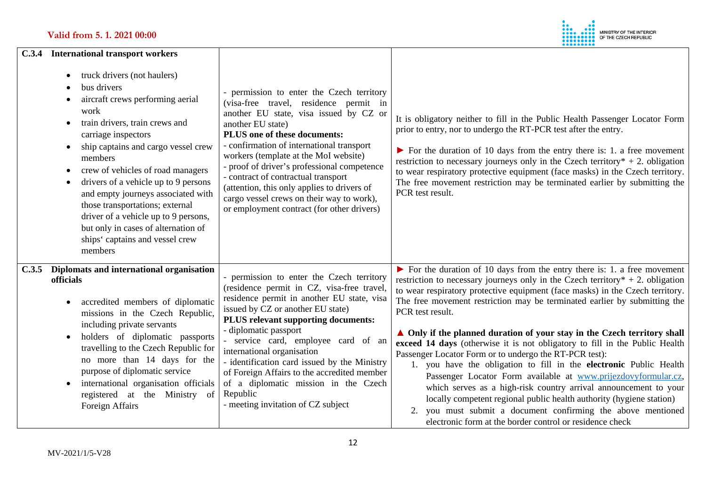

|       | C.3.4 International transport workers                                                                                                                                                                                                                                                                                                                                                                                                                                                                                                    |                                                                                                                                                                                                                                                                                                                                                                                                                                                                                                          |                                                                                                                                                                                                                                                                                                                                                                                                                                                                                                                                                                                                                                                                                                                                                                                                                                                                                                                                                                                                       |
|-------|------------------------------------------------------------------------------------------------------------------------------------------------------------------------------------------------------------------------------------------------------------------------------------------------------------------------------------------------------------------------------------------------------------------------------------------------------------------------------------------------------------------------------------------|----------------------------------------------------------------------------------------------------------------------------------------------------------------------------------------------------------------------------------------------------------------------------------------------------------------------------------------------------------------------------------------------------------------------------------------------------------------------------------------------------------|-------------------------------------------------------------------------------------------------------------------------------------------------------------------------------------------------------------------------------------------------------------------------------------------------------------------------------------------------------------------------------------------------------------------------------------------------------------------------------------------------------------------------------------------------------------------------------------------------------------------------------------------------------------------------------------------------------------------------------------------------------------------------------------------------------------------------------------------------------------------------------------------------------------------------------------------------------------------------------------------------------|
|       | truck drivers (not haulers)<br>bus drivers<br>aircraft crews performing aerial<br>work<br>train drivers, train crews and<br>$\bullet$<br>carriage inspectors<br>ship captains and cargo vessel crew<br>$\bullet$<br>members<br>crew of vehicles of road managers<br>$\bullet$<br>drivers of a vehicle up to 9 persons<br>$\bullet$<br>and empty journeys associated with<br>those transportations; external<br>driver of a vehicle up to 9 persons,<br>but only in cases of alternation of<br>ships' captains and vessel crew<br>members | - permission to enter the Czech territory<br>(visa-free travel, residence permit in<br>another EU state, visa issued by CZ or<br>another EU state)<br>PLUS one of these documents:<br>- confirmation of international transport<br>workers (template at the MoI website)<br>- proof of driver's professional competence<br>- contract of contractual transport<br>(attention, this only applies to drivers of<br>cargo vessel crews on their way to work),<br>or employment contract (for other drivers) | It is obligatory neither to fill in the Public Health Passenger Locator Form<br>prior to entry, nor to undergo the RT-PCR test after the entry.<br>$\triangleright$ For the duration of 10 days from the entry there is: 1. a free movement<br>restriction to necessary journeys only in the Czech territory $* + 2$ . obligation<br>to wear respiratory protective equipment (face masks) in the Czech territory.<br>The free movement restriction may be terminated earlier by submitting the<br>PCR test result.                                                                                                                                                                                                                                                                                                                                                                                                                                                                                   |
| C.3.5 | Diplomats and international organisation<br>officials<br>accredited members of diplomatic<br>missions in the Czech Republic,<br>including private servants<br>holders of diplomatic passports<br>travelling to the Czech Republic for<br>no more than 14 days for the<br>purpose of diplomatic service<br>international organisation officials<br>$\bullet$<br>registered at the Ministry of<br>Foreign Affairs                                                                                                                          | permission to enter the Czech territory<br>(residence permit in CZ, visa-free travel,<br>residence permit in another EU state, visa<br>issued by CZ or another EU state)<br>PLUS relevant supporting documents:<br>- diplomatic passport<br>- service card, employee card of an<br>international organisation<br>- identification card issued by the Ministry<br>of Foreign Affairs to the accredited member<br>of a diplomatic mission in the Czech<br>Republic<br>- meeting invitation of CZ subject   | $\triangleright$ For the duration of 10 days from the entry there is: 1. a free movement<br>restriction to necessary journeys only in the Czech territory $* + 2$ . obligation<br>to wear respiratory protective equipment (face masks) in the Czech territory.<br>The free movement restriction may be terminated earlier by submitting the<br>PCR test result.<br>▲ Only if the planned duration of your stay in the Czech territory shall<br>exceed 14 days (otherwise it is not obligatory to fill in the Public Health<br>Passenger Locator Form or to undergo the RT-PCR test):<br>1. you have the obligation to fill in the electronic Public Health<br>Passenger Locator Form available at www.prijezdovyformular.cz,<br>which serves as a high-risk country arrival announcement to your<br>locally competent regional public health authority (hygiene station)<br>2. you must submit a document confirming the above mentioned<br>electronic form at the border control or residence check |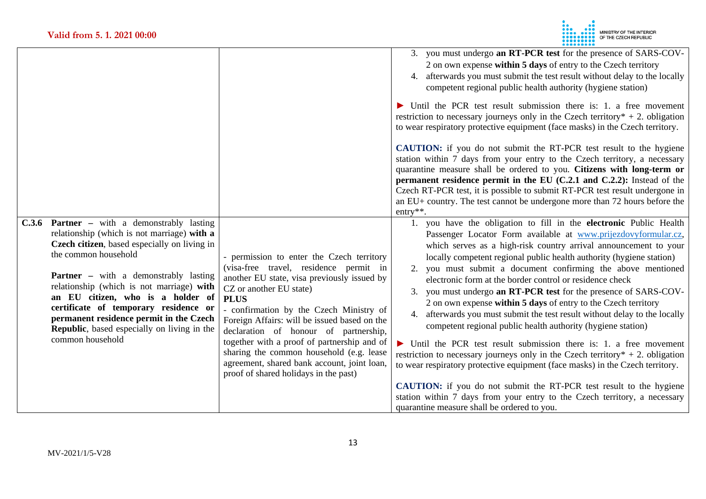

| C.3.6 Partner – with a demonstrably lasting                                                                                                                                                                                                                                                                                                                                                                  |                                                                                                                                                                                                                                                                                                                                                                                                                                                                                                     | 3. you must undergo an RT-PCR test for the presence of SARS-COV-<br>2 on own expense within 5 days of entry to the Czech territory<br>4. afterwards you must submit the test result without delay to the locally<br>competent regional public health authority (hygiene station)<br>$\triangleright$ Until the PCR test result submission there is: 1. a free movement<br>restriction to necessary journeys only in the Czech territory $* + 2$ . obligation<br>to wear respiratory protective equipment (face masks) in the Czech territory.<br><b>CAUTION:</b> if you do not submit the RT-PCR test result to the hygiene<br>station within 7 days from your entry to the Czech territory, a necessary<br>quarantine measure shall be ordered to you. Citizens with long-term or<br>permanent residence permit in the EU (C.2.1 and C.2.2): Instead of the<br>Czech RT-PCR test, it is possible to submit RT-PCR test result undergone in<br>an EU+ country. The test cannot be undergone more than 72 hours before the<br>$entry**$ .<br>1. you have the obligation to fill in the electronic Public Health |
|--------------------------------------------------------------------------------------------------------------------------------------------------------------------------------------------------------------------------------------------------------------------------------------------------------------------------------------------------------------------------------------------------------------|-----------------------------------------------------------------------------------------------------------------------------------------------------------------------------------------------------------------------------------------------------------------------------------------------------------------------------------------------------------------------------------------------------------------------------------------------------------------------------------------------------|----------------------------------------------------------------------------------------------------------------------------------------------------------------------------------------------------------------------------------------------------------------------------------------------------------------------------------------------------------------------------------------------------------------------------------------------------------------------------------------------------------------------------------------------------------------------------------------------------------------------------------------------------------------------------------------------------------------------------------------------------------------------------------------------------------------------------------------------------------------------------------------------------------------------------------------------------------------------------------------------------------------------------------------------------------------------------------------------------------------|
| relationship (which is not marriage) with a<br>Czech citizen, based especially on living in<br>the common household<br><b>Partner</b> – with a demonstrably lasting<br>relationship (which is not marriage) with<br>an EU citizen, who is a holder of<br>certificate of temporary residence or<br>permanent residence permit in the Czech<br>Republic, based especially on living in the<br>common household | - permission to enter the Czech territory<br>(visa-free travel, residence permit in<br>another EU state, visa previously issued by<br>CZ or another EU state)<br><b>PLUS</b><br>- confirmation by the Czech Ministry of<br>Foreign Affairs: will be issued based on the<br>declaration of honour of partnership,<br>together with a proof of partnership and of<br>sharing the common household (e.g. lease<br>agreement, shared bank account, joint loan,<br>proof of shared holidays in the past) | Passenger Locator Form available at www.prijezdovyformular.cz,<br>which serves as a high-risk country arrival announcement to your<br>locally competent regional public health authority (hygiene station)<br>2. you must submit a document confirming the above mentioned<br>electronic form at the border control or residence check<br>3. you must undergo an RT-PCR test for the presence of SARS-COV-<br>2 on own expense within 5 days of entry to the Czech territory<br>afterwards you must submit the test result without delay to the locally<br>4.<br>competent regional public health authority (hygiene station)<br>$\triangleright$ Until the PCR test result submission there is: 1. a free movement<br>restriction to necessary journeys only in the Czech territory $* + 2$ . obligation<br>to wear respiratory protective equipment (face masks) in the Czech territory.<br><b>CAUTION:</b> if you do not submit the RT-PCR test result to the hygiene<br>station within 7 days from your entry to the Czech territory, a necessary<br>quarantine measure shall be ordered to you.           |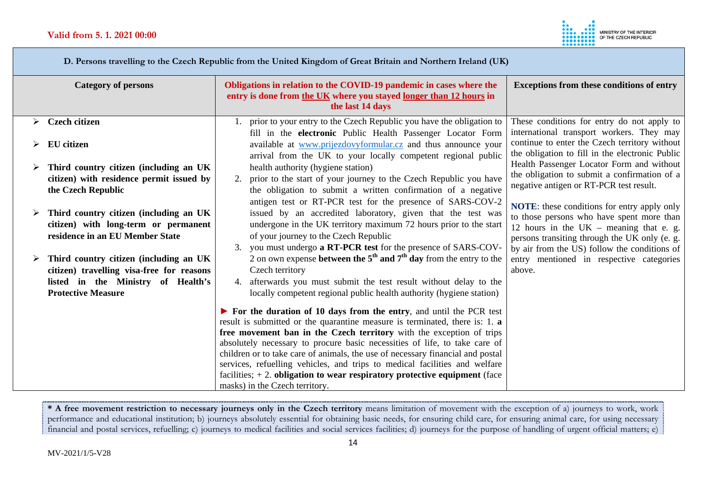

 **D. Persons travelling to the Czech Republic from the United Kingdom of Great Britain and Northern Ireland (UK)** 

|   | <b>Category of persons</b>                                                     | Obligations in relation to the COVID-19 pandemic in cases where the<br>entry is done from the UK where you stayed longer than 12 hours in | <b>Exceptions from these conditions of entry</b>                                        |
|---|--------------------------------------------------------------------------------|-------------------------------------------------------------------------------------------------------------------------------------------|-----------------------------------------------------------------------------------------|
|   |                                                                                | the last 14 days                                                                                                                          |                                                                                         |
| ➤ | <b>Czech citizen</b>                                                           | 1. prior to your entry to the Czech Republic you have the obligation to                                                                   | These conditions for entry do not apply to                                              |
|   |                                                                                | fill in the electronic Public Health Passenger Locator Form                                                                               | international transport workers. They may                                               |
|   | EU citizen                                                                     | available at www.prijezdovyformular.cz and thus announce your                                                                             | continue to enter the Czech territory without                                           |
|   |                                                                                | arrival from the UK to your locally competent regional public                                                                             | the obligation to fill in the electronic Public                                         |
|   | Third country citizen (including an UK                                         | health authority (hygiene station)                                                                                                        | Health Passenger Locator Form and without                                               |
|   | citizen) with residence permit issued by                                       | prior to the start of your journey to the Czech Republic you have<br>2.                                                                   | the obligation to submit a confirmation of a<br>negative antigen or RT-PCR test result. |
|   | the Czech Republic                                                             | the obligation to submit a written confirmation of a negative                                                                             |                                                                                         |
|   |                                                                                | antigen test or RT-PCR test for the presence of SARS-COV-2                                                                                | <b>NOTE:</b> these conditions for entry apply only                                      |
|   | Third country citizen (including an UK                                         | issued by an accredited laboratory, given that the test was                                                                               | to those persons who have spent more than                                               |
|   | citizen) with long-term or permanent                                           | undergone in the UK territory maximum 72 hours prior to the start                                                                         | 12 hours in the $UK$ – meaning that e. g.                                               |
|   | residence in an EU Member State                                                | of your journey to the Czech Republic                                                                                                     | persons transiting through the UK only (e. g.                                           |
|   |                                                                                | 3. you must undergo a RT-PCR test for the presence of SARS-COV-                                                                           | by air from the US) follow the conditions of                                            |
|   | Third country citizen (including an UK                                         | 2 on own expense <b>between the 5<sup>th</sup> and 7<sup>th</sup> day</b> from the entry to the                                           | entry mentioned in respective categories                                                |
|   | citizen) travelling visa-free for reasons                                      | Czech territory                                                                                                                           | above.                                                                                  |
|   | listed in the Ministry of Health's                                             | 4. afterwards you must submit the test result without delay to the                                                                        |                                                                                         |
|   | <b>Protective Measure</b>                                                      | locally competent regional public health authority (hygiene station)                                                                      |                                                                                         |
|   |                                                                                | $\triangleright$ For the duration of 10 days from the entry, and until the PCR test                                                       |                                                                                         |
|   | result is submitted or the quarantine measure is terminated, there is: 1. a    |                                                                                                                                           |                                                                                         |
|   |                                                                                | free movement ban in the Czech territory with the exception of trips                                                                      |                                                                                         |
|   |                                                                                | absolutely necessary to procure basic necessities of life, to take care of                                                                |                                                                                         |
|   | children or to take care of animals, the use of necessary financial and postal |                                                                                                                                           |                                                                                         |
|   |                                                                                | services, refuelling vehicles, and trips to medical facilities and welfare                                                                |                                                                                         |
|   | facilities; $+2$ . obligation to wear respiratory protective equipment (face   |                                                                                                                                           |                                                                                         |
|   |                                                                                | masks) in the Czech territory.                                                                                                            |                                                                                         |

**\* A free movement restriction to necessary journeys only in the Czech territory** means limitation of movement with the exception of a) journeys to work, work performance and educational institution; b) journeys absolutely essential for obtaining basic needs, for ensuring child care, for ensuring animal care, for using necessary financial and postal services, refuelling; c) journeys to medical facilities and social services facilities; d) journeys for the purpose of handling of urgent official matters; e)